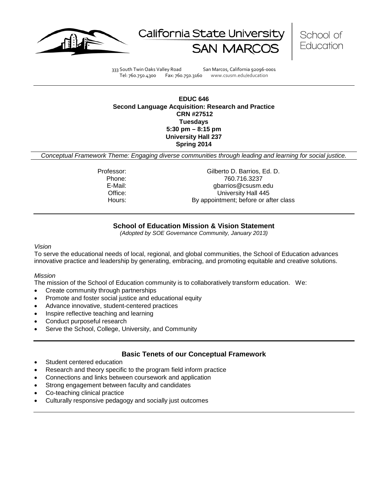





333 South Twin Oaks Valley Road San Marcos, California 92096-0001 Tel: 760.750.4300 Fax: 760.750.3160 www.csusm.edu/education

#### **EDUC 646 Second Language Acquisition: Research and Practice CRN #27512 Tuesdays 5:30 pm – 8:15 pm University Hall 237 Spring 2014**

*Conceptual Framework Theme: Engaging diverse communities through leading and learning for social justice.*

Professor: Gilberto D. Barrios, Ed. D.<br>Phone: 760.716.3237 Phone: 760.716.3237<br>E-Mail: 760.716.3237<br>Gharrios @csusm. gbarrios@csusm.edu Office: University Hall 445 Hours: By appointment; before or after class

# **School of Education Mission & Vision Statement**

*(Adopted by SOE Governance Community, January 2013)*

#### <span id="page-0-0"></span>*Vision*

To serve the educational needs of local, regional, and global communities, the School of Education advances innovative practice and leadership by generating, embracing, and promoting equitable and creative solutions.

#### *Mission*

The mission of the School of Education community is to collaboratively transform education. We:

- Create community through partnerships
- Promote and foster social justice and educational equity
- Advance innovative, student-centered practices
- Inspire reflective teaching and learning
- Conduct purposeful research
- Serve the School, College, University, and Community

# **Basic Tenets of our Conceptual Framework**

- <span id="page-0-1"></span>Student centered education
- Research and theory specific to the program field inform practice
- Connections and links between coursework and application
- Strong engagement between faculty and candidates
- Co-teaching clinical practice
- Culturally responsive pedagogy and socially just outcomes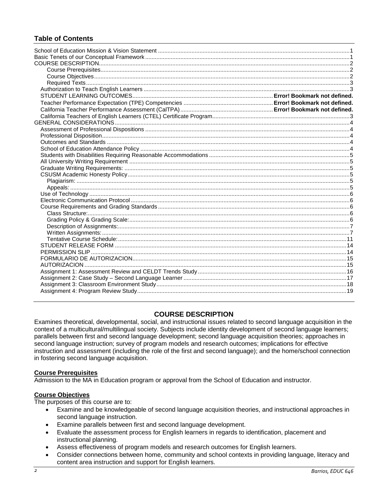# **Table of Contents**

# **COURSE DESCRIPTION**

<span id="page-1-0"></span>Examines theoretical, developmental, social, and instructional issues related to second language acquisition in the context of a multicultural/multilingual society. Subjects include identity development of second language learners; parallels between first and second language development; second language acquisition theories; approaches in second language instruction; survey of program models and research outcomes; implications for effective instruction and assessment (including the role of the first and second language); and the home/school connection in fostering second language acquisition.

#### <span id="page-1-1"></span>**Course Prerequisites**

Admission to the MA in Education program or approval from the School of Education and instructor.

#### <span id="page-1-2"></span>**Course Objectives**

The purposes of this course are to:

- Examine and be knowledgeable of second language acquisition theories, and instructional approaches in second language instruction.
- Examine parallels between first and second language development.
- Evaluate the assessment process for English learners in regards to identification, placement and instructional planning.
- Assess effectiveness of program models and research outcomes for English learners.
- Consider connections between home, community and school contexts in providing language, literacy and content area instruction and support for English learners.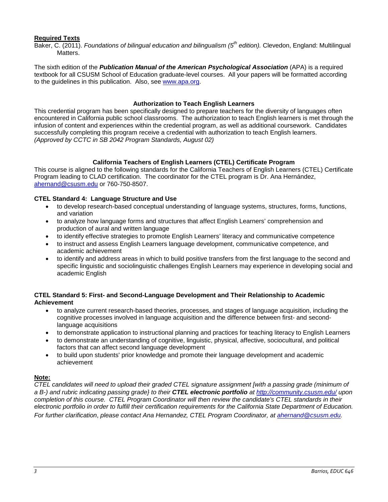# <span id="page-2-0"></span>**Required Texts**

Baker, C. (2011). *Foundations of bilingual education and bilingualism (5th edition).* Clevedon, England: Multilingual Matters.

The sixth edition of the *Publication Manual of the American Psychological Association* (APA) is a required textbook for all CSUSM School of Education graduate-level courses. All your papers will be formatted according to the guidelines in this publication. Also, see [www.apa.org.](http://www.apa.org/)

#### **Authorization to Teach English Learners**

<span id="page-2-1"></span>This credential program has been specifically designed to prepare teachers for the diversity of languages often encountered in California public school classrooms. The authorization to teach English learners is met through the infusion of content and experiences within the credential program, as well as additional coursework. Candidates successfully completing this program receive a credential with authorization to teach English learners. *(Approved by CCTC in SB 2042 Program Standards, August 02)*

# **California Teachers of English Learners (CTEL) Certificate Program**

<span id="page-2-2"></span>This course is aligned to the following standards for the California Teachers of English Learners (CTEL) Certificate Program leading to CLAD certification. The coordinator for the CTEL program is Dr. Ana Hernández, [ahernand@csusm.edu](mailto:ahernand@csusm.edu) or 760-750-8507.

#### **CTEL Standard 4: Language Structure and Use**

- to develop research-based conceptual understanding of language systems, structures, forms, functions, and variation
- to analyze how language forms and structures that affect English Learners' comprehension and production of aural and written language
- to identify effective strategies to promote English Learners' literacy and communicative competence
- to instruct and assess English Learners language development, communicative competence, and academic achievement
- to identify and address areas in which to build positive transfers from the first language to the second and specific linguistic and sociolinguistic challenges English Learners may experience in developing social and academic English

#### **CTEL Standard 5: First- and Second-Language Development and Their Relationship to Academic Achievement**

- to analyze current research-based theories, processes, and stages of language acquisition, including the cognitive processes involved in language acquisition and the difference between first- and secondlanguage acquisitions
- to demonstrate application to instructional planning and practices for teaching literacy to English Learners
- to demonstrate an understanding of cognitive, linguistic, physical, affective, sociocultural, and political factors that can affect second language development
- to build upon students' prior knowledge and promote their language development and academic achievement

#### **Note:**

<span id="page-2-3"></span>*CTEL candidates will need to upload their graded CTEL signature assignment [with a passing grade (minimum of a B-) and rubric indicating passing grade} to their CTEL electronic portfolio a[t http://community.csusm.edu/](http://community.csusm.edu/) upon completion of this course. CTEL Program Coordinator will then review the candidate's CTEL standards in their electronic portfolio in order to fulfill their certification requirements for the California State Department of Education. For further clarification*, *please contact Ana Hernandez, CTEL Program Coordinator, at [ahernand@csusm.edu.](mailto:ahernand@csusm.edu)*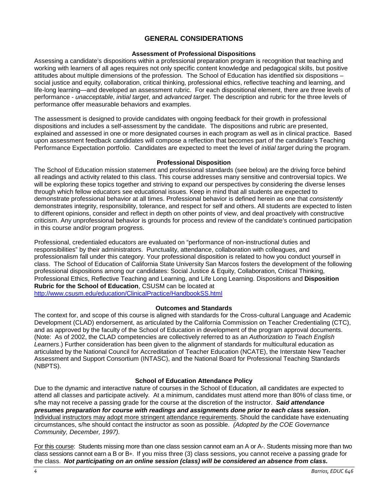# **GENERAL CONSIDERATIONS**

#### **Assessment of Professional Dispositions**

<span id="page-3-0"></span>Assessing a candidate's dispositions within a professional preparation program is recognition that teaching and working with learners of all ages requires not only specific content knowledge and pedagogical skills, but positive attitudes about multiple dimensions of the profession. The School of Education has identified six dispositions – social justice and equity, collaboration, critical thinking, professional ethics, reflective teaching and learning, and life-long learning—and developed an assessment rubric. For each dispositional element, there are three levels of performance - *unacceptable*, *initial target*, and *advanced target*. The description and rubric for the three levels of performance offer measurable behaviors and examples.

The assessment is designed to provide candidates with ongoing feedback for their growth in professional dispositions and includes a self-assessment by the candidate. The dispositions and rubric are presented, explained and assessed in one or more designated courses in each program as well as in clinical practice. Based upon assessment feedback candidates will compose a reflection that becomes part of the candidate's Teaching Performance Expectation portfolio. Candidates are expected to meet the level of *initial target* during the program.

#### **Professional Disposition**

<span id="page-3-1"></span>The School of Education mission statement and professional standards (see below) are the driving force behind all readings and activity related to this class. This course addresses many sensitive and controversial topics. We will be exploring these topics together and striving to expand our perspectives by considering the diverse lenses through which fellow educators see educational issues. Keep in mind that all students are expected to demonstrate professional behavior at all times. Professional behavior is defined herein as one that *consistently* demonstrates integrity, responsibility, tolerance, and respect for self and others. All students are expected to listen to different opinions, consider and reflect in depth on other points of view, and deal proactively with constructive criticism. Any unprofessional behavior is grounds for process and review of the candidate's continued participation in this course and/or program progress.

Professional, credentialed educators are evaluated on "performance of non-instructional duties and responsibilities" by their administrators. Punctuality, attendance, collaboration with colleagues, and professionalism fall under this category. Your professional disposition is related to how you conduct yourself in class. The School of Education of California State University San Marcos fosters the development of the following professional dispositions among our candidates: Social Justice & Equity, Collaboration, Critical Thinking, Professional Ethics, Reflective Teaching and Learning, and Life Long Learning. Dispositions and **Disposition Rubric for the School of Education**, CSUSM can be located at <http://www.csusm.edu/education/ClinicalPractice/HandbookSS.html>

#### **Outcomes and Standards**

<span id="page-3-2"></span>The context for, and scope of this course is aligned with standards for the Cross-cultural Language and Academic Development (CLAD) endorsement, as articulated by the California Commission on Teacher Credentialing (CTC), and as approved by the faculty of the School of Education in development of the program approval documents. (Note: As of 2002, the CLAD competencies are collectively referred to as an *Authorization to Teach English Learners*.) Further consideration has been given to the alignment of standards for multicultural education as articulated by the National Council for Accreditation of Teacher Education (NCATE), the Interstate New Teacher Assessment and Support Consortium (INTASC), and the National Board for Professional Teaching Standards (NBPTS).

#### **School of Education Attendance Policy**

<span id="page-3-3"></span>Due to the dynamic and interactive nature of courses in the School of Education, all candidates are expected to attend all classes and participate actively. At a minimum, candidates must attend more than 80% of class time, or s/he may not receive a passing grade for the course at the discretion of the instructor. *Said attendance presumes preparation for course with readings and assignments done prior to each class session***.** Individual instructors may adopt more stringent attendance requirements. Should the candidate have extenuating circumstances, s/he should contact the instructor as soon as possible. *(Adopted by the COE Governance Community, December, 1997).*

For this course: Students missing more than one class session cannot earn an A or A-. Students missing more than two class sessions cannot earn a B or B+. If you miss three (3) class sessions, you cannot receive a passing grade for the class. *Not participating on an online session (class) will be considered an absence from class.*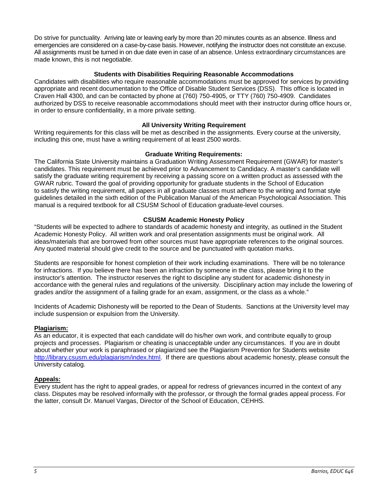Do strive for punctuality. Arriving late or leaving early by more than 20 minutes counts as an absence. Illness and emergencies are considered on a case-by-case basis. However, notifying the instructor does not constitute an excuse. All assignments must be turned in on due date even in case of an absence. Unless extraordinary circumstances are made known, this is not negotiable.

#### **Students with Disabilities Requiring Reasonable Accommodations**

<span id="page-4-0"></span>Candidates with disabilities who require reasonable accommodations must be approved for services by providing appropriate and recent documentation to the Office of Disable Student Services (DSS). This office is located in Craven Hall 4300, and can be contacted by phone at (760) 750-4905, or TTY (760) 750-4909. Candidates authorized by DSS to receive reasonable accommodations should meet with their instructor during office hours or, in order to ensure confidentiality, in a more private setting.

#### **All University Writing Requirement**

<span id="page-4-1"></span>Writing requirements for this class will be met as described in the assignments. Every course at the university, including this one, must have a writing requirement of at least 2500 words.

#### **Graduate Writing Requirements:**

<span id="page-4-2"></span>The California State University maintains a Graduation Writing Assessment Requirement (GWAR) for master's candidates. This requirement must be achieved prior to Advancement to Candidacy. A master's candidate will satisfy the graduate writing requirement by receiving a passing score on a written product as assessed with the GWAR rubric. Toward the goal of providing opportunity for graduate students in the School of Education to satisfy the writing requirement, all papers in all graduate classes must adhere to the writing and format style guidelines detailed in the sixth edition of the Publication Manual of the American Psychological Association. This manual is a required textbook for all CSUSM School of Education graduate-level courses.

#### **CSUSM Academic Honesty Policy**

<span id="page-4-3"></span>"Students will be expected to adhere to standards of academic honesty and integrity, as outlined in the Student Academic Honesty Policy. All written work and oral presentation assignments must be original work. All ideas/materials that are borrowed from other sources must have appropriate references to the original sources. Any quoted material should give credit to the source and be punctuated with quotation marks.

Students are responsible for honest completion of their work including examinations. There will be no tolerance for infractions. If you believe there has been an infraction by someone in the class, please bring it to the instructor's attention. The instructor reserves the right to discipline any student for academic dishonesty in accordance with the general rules and regulations of the university. Disciplinary action may include the lowering of grades and/or the assignment of a failing grade for an exam, assignment, or the class as a whole."

Incidents of Academic Dishonesty will be reported to the Dean of Students. Sanctions at the University level may include suspension or expulsion from the University.

#### <span id="page-4-4"></span>**Plagiarism:**

As an educator, it is expected that each candidate will do his/her own work, and contribute equally to group projects and processes. Plagiarism or cheating is unacceptable under any circumstances. If you are in doubt about whether your work is paraphrased or plagiarized see the Plagiarism Prevention for Students website [http://library.csusm.edu/plagiarism/index.html.](http://library.csusm.edu/plagiarism/index.html) If there are questions about academic honesty, please consult the University catalog.

#### <span id="page-4-5"></span>**Appeals:**

<span id="page-4-6"></span>Every student has the right to appeal grades, or appeal for redress of grievances incurred in the context of any class. Disputes may be resolved informally with the professor, or through the formal grades appeal process. For the latter, consult Dr. Manuel Vargas, Director of the School of Education, CEHHS.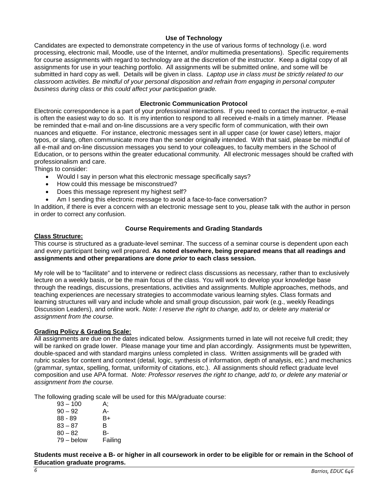### **Use of Technology**

Candidates are expected to demonstrate competency in the use of various forms of technology (i.e. word processing, electronic mail, Moodle, use of the Internet, and/or multimedia presentations). Specific requirements for course assignments with regard to technology are at the discretion of the instructor. Keep a digital copy of all assignments for use in your teaching portfolio. All assignments will be submitted online, and some will be submitted in hard copy as well. Details will be given in class. *Laptop use in class must be strictly related to our classroom activities. Be mindful of your personal disposition and refrain from engaging in personal computer business during class or this could affect your participation grade.*

#### **Electronic Communication Protocol**

<span id="page-5-0"></span>Electronic correspondence is a part of your professional interactions. If you need to contact the instructor, e-mail is often the easiest way to do so. It is my intention to respond to all received e-mails in a timely manner. Please be reminded that e-mail and on-line discussions are a very specific form of communication, with their own nuances and etiquette. For instance, electronic messages sent in all upper case (or lower case) letters, major typos, or slang, often communicate more than the sender originally intended. With that said, please be mindful of all e-mail and on-line discussion messages you send to your colleagues, to faculty members in the School of Education, or to persons within the greater educational community. All electronic messages should be crafted with professionalism and care.

Things to consider:

- Would I say in person what this electronic message specifically says?
- How could this message be misconstrued?
- Does this message represent my highest self?
- Am I sending this electronic message to avoid a face-to-face conversation?

In addition, if there is ever a concern with an electronic message sent to you, please talk with the author in person in order to correct any confusion.

#### **Course Requirements and Grading Standards**

#### <span id="page-5-2"></span><span id="page-5-1"></span>**Class Structure:**

This course is structured as a graduate-level seminar. The success of a seminar course is dependent upon each and every participant being well prepared. **As noted elsewhere, being prepared means that all readings and assignments and other preparations are done** *prior* **to each class session.** 

My role will be to "facilitate" and to intervene or redirect class discussions as necessary, rather than to exclusively lecture on a weekly basis, or be the main focus of the class. You will work to develop your knowledge base through the readings, discussions, presentations, activities and assignments. Multiple approaches, methods, and teaching experiences are necessary strategies to accommodate various learning styles. Class formats and learning structures will vary and include whole and small group discussion, pair work (e.g., weekly Readings Discussion Leaders), and online work. *Note: I reserve the right to change, add to, or delete any material or assignment from the course.*

#### <span id="page-5-3"></span>**Grading Policy & Grading Scale:**

All assignments are due on the dates indicated below. Assignments turned in late will not receive full credit; they will be ranked on grade lower. Please manage your time and plan accordingly. Assignments must be typewritten, double-spaced and with standard margins unless completed in class. Written assignments will be graded with rubric scales for content and context (detail, logic, synthesis of information, depth of analysis, etc.) and mechanics (grammar, syntax, spelling, format, uniformity of citations, etc.). All assignments should reflect graduate level composition and use APA format. *Note: Professor reserves the right to change, add to, or delete any material or assignment from the course.*

The following grading scale will be used for this MA/graduate course:

| $93 - 100$   | А:      |
|--------------|---------|
| $90 - 92$    | А-      |
| $88 - 89$    | B+      |
| $83 - 87$    | в       |
| $80 - 82$    | в-      |
| $79 -$ below | Failing |

**Students must receive a B- or higher in all coursework in order to be eligible for or remain in the School of Education graduate programs.**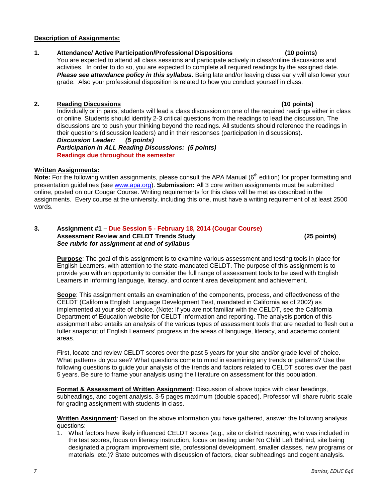# <span id="page-6-0"></span>**Description of Assignments:**

# **1. Attendance/ Active Participation/Professional Dispositions (10 points)**

You are expected to attend all class sessions and participate actively in class/online discussions and activities. In order to do so, you are expected to complete all required readings by the assigned date. *Please see attendance policy in this syllabus.* Being late and/or leaving class early will also lower your grade. Also your professional disposition is related to how you conduct yourself in class.

# **2. Reading Discussions (10 points)**

Individually or in pairs, students will lead a class discussion on one of the required readings either in class or online. Students should identify 2-3 critical questions from the readings to lead the discussion. The discussions are to push your thinking beyond the readings. All students should reference the readings in their questions (discussion leaders) and in their responses (participation in discussions). *Discussion Leader: (5 points)*

*Participation in ALL Reading Discussions: (5 points)* **Readings due throughout the semester**

# <span id="page-6-1"></span>**Written Assignments:**

**Note:** For the following written assignments, please consult the APA Manual (6<sup>th</sup> edition) for proper formatting and presentation guidelines (see [www.apa.org\)](http://www.apa.org/). **Submission:** All 3 core written assignments must be submitted online, posted on our Cougar Course. Writing requirements for this class will be met as described in the assignments. Every course at the university, including this one, must have a writing requirement of at least 2500 words.

#### **3. Assignment #1 – Due Session 5 - February 18, 2014 (Cougar Course) Assessment Review and CELDT Trends Study (25 points)** *See rubric for assignment at end of syllabus*

**Purpose**: The goal of this assignment is to examine various assessment and testing tools in place for English Learners, with attention to the state-mandated CELDT. The purpose of this assignment is to provide you with an opportunity to consider the full range of assessment tools to be used with English Learners in informing language, literacy, and content area development and achievement.

**Scope**: This assignment entails an examination of the components, process, and effectiveness of the CELDT (California English Language Development Test, mandated in California as of 2002) as implemented at your site of choice. (Note: If you are not familiar with the CELDT, see the California Department of Education website for CELDT information and reporting. The analysis portion of this assignment also entails an analysis of the various types of assessment tools that are needed to flesh out a fuller snapshot of English Learners' progress in the areas of language, literacy, and academic content areas.

First, locate and review CELDT scores over the past 5 years for your site and/or grade level of choice. What patterns do you see? What questions come to mind in examining any trends or patterns? Use the following questions to guide your analysis of the trends and factors related to CELDT scores over the past 5 years. Be sure to frame your analysis using the literature on assessment for this population.

**Format & Assessment of Written Assignment**: Discussion of above topics with clear headings, subheadings, and cogent analysis. 3-5 pages maximum (double spaced). Professor will share rubric scale for grading assignment with students in class.

**Written Assignment**: Based on the above information you have gathered, answer the following analysis questions:

1. What factors have likely influenced CELDT scores (e.g., site or district rezoning, who was included in the test scores, focus on literacy instruction, focus on testing under No Child Left Behind, site being designated a program improvement site, professional development, smaller classes, new programs or materials, etc.)? State outcomes with discussion of factors, clear subheadings and cogent analysis.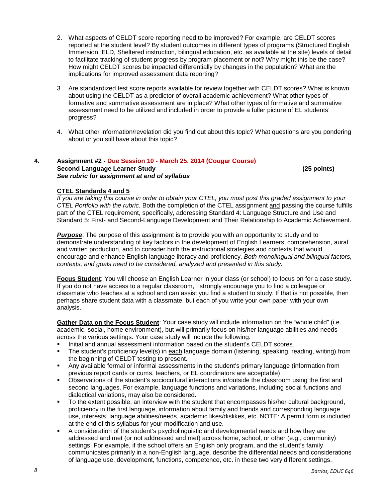- 2. What aspects of CELDT score reporting need to be improved? For example, are CELDT scores reported at the student level? By student outcomes in different types of programs (Structured English Immersion, ELD, Sheltered instruction, bilingual education, etc. as available at the site) levels of detail to facilitate tracking of student progress by program placement or not? Why might this be the case? How might CELDT scores be impacted differentially by changes in the population? What are the implications for improved assessment data reporting?
- 3. Are standardized test score reports available for review together with CELDT scores? What is known about using the CELDT as a predictor of overall academic achievement? What other types of formative and summative assessment are in place? What other types of formative and summative assessment need to be utilized and included in order to provide a fuller picture of EL students' progress?
- 4. What other information/revelation did you find out about this topic? What questions are you pondering about or you still have about this topic?

#### **4. Assignment #2 - Due Session 10 - March 25, 2014 (Cougar Course) Second Language Learner Study (25 points)** *See rubric for assignment at end of syllabus*

# **CTEL Standards 4 and 5**

*If you are taking this course in order to obtain your CTEL, you must post this graded assignment to your CTEL Portfolio with the rubric.* Both the completion of the CTEL assignment and passing the course fulfills part of the CTEL requirement, specifically, addressing Standard 4: Language Structure and Use and Standard 5: First- and Second-Language Development and Their Relationship to Academic Achievement.

*Purpose*: The purpose of this assignment is to provide you with an opportunity to study and to demonstrate understanding of key factors in the development of English Learners' comprehension, aural and written production, and to consider both the instructional strategies and contexts that would encourage and enhance English language literacy and proficiency. *Both monolingual and bilingual factors, contexts, and goals need to be considered, analyzed and presented in this study.*

**Focus Student**: You will choose an English Learner in your class (or school) to focus on for a case study. If you do not have access to a regular classroom, I strongly encourage you to find a colleague or classmate who teaches at a school and can assist you find a student to study. If that is not possible, then perhaps share student data with a classmate, but each of you write your own paper with your own analysis.

**Gather Data on the Focus Student**: Your case study will include information on the "whole child" (i.e. academic, social, home environment), but will primarily focus on his/her language abilities and needs across the various settings. Your case study will include the following:

- Initial and annual assessment information based on the student's CELDT scores.
- The student's proficiency level(s) in each language domain (listening, speaking, reading, writing) from the beginning of CELDT testing to present.
- Any available formal or informal assessments in the student's primary language (information from previous report cards or cums, teachers, or EL coordinators are acceptable)
- Observations of the student's sociocultural interactions in/outside the classroom using the first and second languages. For example, language functions and variations, including social functions and dialectical variations, may also be considered.
- To the extent possible, an interview with the student that encompasses his/her cultural background, proficiency in the first language, information about family and friends and corresponding language use, interests, language abilities/needs, academic likes/dislikes, etc. NOTE: A permit form is included at the end of this syllabus for your modification and use.
- A consideration of the student's psycholinguistic and developmental needs and how they are addressed and met (or not addressed and met) across home, school, or other (e.g., community) settings. For example, if the school offers an English only program, and the student's family communicates primarily in a non-English language, describe the differential needs and considerations of language use, development, functions, competence, etc. in these two very different settings.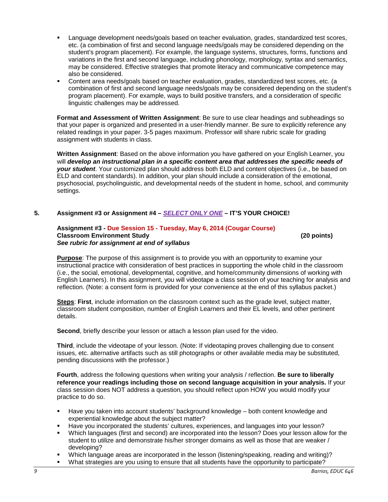- Language development needs/goals based on teacher evaluation, grades, standardized test scores, etc. (a combination of first and second language needs/goals may be considered depending on the student's program placement). For example, the language systems, structures, forms, functions and variations in the first and second language, including phonology, morphology, syntax and semantics, may be considered. Effective strategies that promote literacy and communicative competence may also be considered.
- Content area needs/goals based on teacher evaluation, grades, standardized test scores, etc. (a combination of first and second language needs/goals may be considered depending on the student's program placement). For example, ways to build positive transfers, and a consideration of specific linguistic challenges may be addressed.

**Format and Assessment of Written Assignment**: Be sure to use clear headings and subheadings so that your paper is organized and presented in a user-friendly manner. Be sure to explicitly reference any related readings in your paper. 3-5 pages maximum. Professor will share rubric scale for grading assignment with students in class.

**Written Assignment**: Based on the above information you have gathered on your English Learner, you will *develop an instructional plan in a specific content area that addresses the specific needs of your student*. Your customized plan should address both ELD and content objectives (i.e., be based on ELD and content standards). In addition, your plan should include a consideration of the emotional, psychosocial, psycholinguistic, and developmental needs of the student in home, school, and community settings.

#### **5. Assignment #3 or Assignment #4 –** *SELECT ONLY ONE* **– IT'S YOUR CHOICE!**

#### **Assignment #3 - Due Session 15 - Tuesday, May 6, 2014 (Cougar Course) Classroom Environment Study (20 points)** *See rubric for assignment at end of syllabus*

**Purpose**: The purpose of this assignment is to provide you with an opportunity to examine your instructional practice with consideration of best practices in supporting the whole child in the classroom (i.e., the social, emotional, developmental, cognitive, and home/community dimensions of working with English Learners). In this assignment, you will videotape a class session of your teaching for analysis and reflection. (Note: a consent form is provided for your convenience at the end of this syllabus packet.)

**Steps**: **First**, include information on the classroom context such as the grade level, subject matter, classroom student composition, number of English Learners and their EL levels, and other pertinent details.

**Second**, briefly describe your lesson or attach a lesson plan used for the video.

**Third**, include the videotape of your lesson. (Note: If videotaping proves challenging due to consent issues, etc. alternative artifacts such as still photographs or other available media may be substituted, pending discussions with the professor.)

**Fourth**, address the following questions when writing your analysis / reflection. **Be sure to liberally reference your readings including those on second language acquisition in your analysis.** If your class session does NOT address a question, you should reflect upon HOW you would modify your practice to do so.

- Have you taken into account students' background knowledge both content knowledge and experiential knowledge about the subject matter?
- Have you incorporated the students' cultures, experiences, and languages into your lesson?
- Which languages (first and second) are incorporated into the lesson? Does your lesson allow for the student to utilize and demonstrate his/her stronger domains as well as those that are weaker / developing?
- Which language areas are incorporated in the lesson (listening/speaking, reading and writing)?
- What strategies are you using to ensure that all students have the opportunity to participate?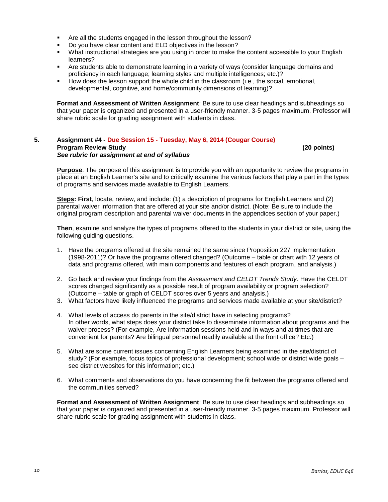- Are all the students engaged in the lesson throughout the lesson?
- Do you have clear content and ELD objectives in the lesson?
- What instructional strategies are you using in order to make the content accessible to your English learners?
- Are students able to demonstrate learning in a variety of ways (consider language domains and proficiency in each language; learning styles and multiple intelligences; etc.)?
- How does the lesson support the whole child in the classroom (i.e., the social, emotional, developmental, cognitive, and home/community dimensions of learning)?

**Format and Assessment of Written Assignment**: Be sure to use clear headings and subheadings so that your paper is organized and presented in a user-friendly manner. 3-5 pages maximum. Professor will share rubric scale for grading assignment with students in class.

#### **5. Assignment #4 - Due Session 15 - Tuesday, May 6, 2014 (Cougar Course) Program Review Study (20 points)** *See rubric for assignment at end of syllabus*

**Purpose**: The purpose of this assignment is to provide you with an opportunity to review the programs in place at an English Learner's site and to critically examine the various factors that play a part in the types of programs and services made available to English Learners.

**Steps: First**, locate, review, and include: (1) a description of programs for English Learners and (2) parental waiver information that are offered at your site and/or district. (Note: Be sure to include the original program description and parental waiver documents in the appendices section of your paper.)

**Then**, examine and analyze the types of programs offered to the students in your district or site, using the following guiding questions.

- 1. Have the programs offered at the site remained the same since Proposition 227 implementation (1998-2011)? Or have the programs offered changed? (Outcome – table or chart with 12 years of data and programs offered, with main components and features of each program, and analysis.)
- 2. Go back and review your findings from the *Assessment and CELDT Trends Study*. Have the CELDT scores changed significantly as a possible result of program availability or program selection? (Outcome – table or graph of CELDT scores over 5 years and analysis.)
- 3. What factors have likely influenced the programs and services made available at your site/district?
- 4. What levels of access do parents in the site/district have in selecting programs? In other words, what steps does your district take to disseminate information about programs and the waiver process? (For example, Are information sessions held and in ways and at times that are convenient for parents? Are bilingual personnel readily available at the front office? Etc.)
- 5. What are some current issues concerning English Learners being examined in the site/district of study? (For example, focus topics of professional development; school wide or district wide goals – see district websites for this information; etc.)
- 6. What comments and observations do you have concerning the fit between the programs offered and the communities served?

**Format and Assessment of Written Assignment**: Be sure to use clear headings and subheadings so that your paper is organized and presented in a user-friendly manner. 3-5 pages maximum. Professor will share rubric scale for grading assignment with students in class.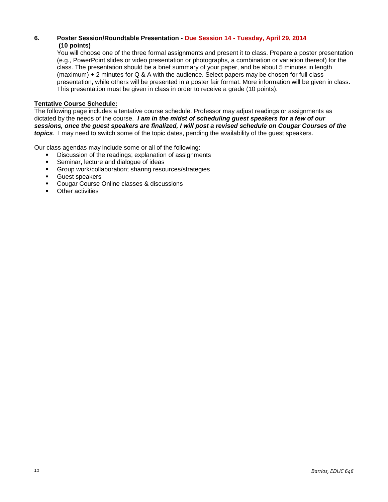# **6. Poster Session/Roundtable Presentation - Due Session 14 - Tuesday, April 29, 2014 (10 points)**

You will choose one of the three formal assignments and present it to class. Prepare a poster presentation (e.g., PowerPoint slides or video presentation or photographs, a combination or variation thereof) for the class. The presentation should be a brief summary of your paper, and be about 5 minutes in length (maximum) + 2 minutes for Q & A with the audience. Select papers may be chosen for full class presentation, while others will be presented in a poster fair format. More information will be given in class. This presentation must be given in class in order to receive a grade (10 points).

# <span id="page-10-0"></span>**Tentative Course Schedule:**

The following page includes a tentative course schedule. Professor may adjust readings or assignments as dictated by the needs of the course. *I am in the midst of scheduling guest speakers for a few of our sessions, once the guest speakers are finalized, I will post a revised schedule on Cougar Courses of the topics*. I may need to switch some of the topic dates, pending the availability of the guest speakers.

Our class agendas may include some or all of the following:

- Discussion of the readings; explanation of assignments
- **Seminar, lecture and dialogue of ideas**
- Group work/collaboration; sharing resources/strategies
- Guest speakers
- **Cougar Course Online classes & discussions**
- Other activities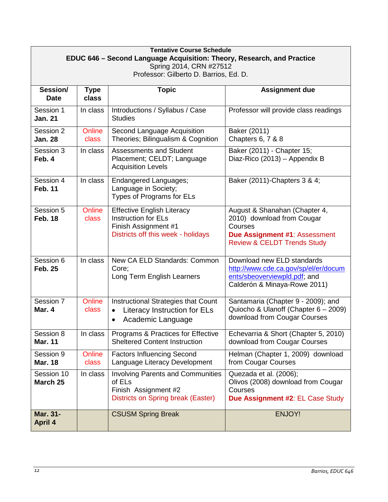| <b>Tentative Course Schedule</b><br>EDUC 646 – Second Language Acquisition: Theory, Research, and Practice<br>Spring 2014, CRN #27512 |                        |                                                                                                                               |                                                                                                                                                   |
|---------------------------------------------------------------------------------------------------------------------------------------|------------------------|-------------------------------------------------------------------------------------------------------------------------------|---------------------------------------------------------------------------------------------------------------------------------------------------|
| Professor: Gilberto D. Barrios, Ed. D.                                                                                                |                        |                                                                                                                               |                                                                                                                                                   |
| Session/<br><b>Date</b>                                                                                                               | <b>Type</b><br>class   | <b>Topic</b>                                                                                                                  | <b>Assignment due</b>                                                                                                                             |
| Session 1<br><b>Jan. 21</b>                                                                                                           | In class               | Introductions / Syllabus / Case<br><b>Studies</b>                                                                             | Professor will provide class readings                                                                                                             |
| Session 2<br><b>Jan. 28</b>                                                                                                           | Online<br><b>class</b> | Second Language Acquisition<br>Theories; Bilingualism & Cognition                                                             | Baker (2011)<br>Chapters 6, 7 & 8                                                                                                                 |
| Session 3<br>Feb. 4                                                                                                                   | In class               | <b>Assessments and Student</b><br>Placement; CELDT; Language<br><b>Acquisition Levels</b>                                     | Baker (2011) - Chapter 15;<br>Diaz-Rico (2013) - Appendix B                                                                                       |
| Session 4<br><b>Feb. 11</b>                                                                                                           | In class               | Endangered Languages;<br>Language in Society;<br>Types of Programs for ELs                                                    | Baker (2011)-Chapters 3 & 4;                                                                                                                      |
| Session 5<br><b>Feb. 18</b>                                                                                                           | Online<br>class        | <b>Effective English Literacy</b><br><b>Instruction for ELs</b><br>Finish Assignment #1<br>Districts off this week - holidays | August & Shanahan (Chapter 4,<br>2010) download from Cougar<br>Courses<br>Due Assignment #1: Assessment<br><b>Review &amp; CELDT Trends Study</b> |
| Session 6<br><b>Feb. 25</b>                                                                                                           | In class               | New CA ELD Standards: Common<br>Core;<br>Long Term English Learners                                                           | Download new ELD standards<br>http://www.cde.ca.gov/sp/el/er/docum<br>ents/sbeoverviewpld.pdf; and<br>Calderón & Minaya-Rowe 2011)                |
| Session 7<br>Mar. 4                                                                                                                   | <b>Online</b><br>class | Instructional Strategies that Count<br>Literacy Instruction for ELs<br>$\bullet$<br>Academic Language<br>$\bullet$            | Santamaria (Chapter 9 - 2009); and<br>Quiocho & Ulanoff (Chapter 6 - 2009)<br>download from Cougar Courses                                        |
| Session 8<br><b>Mar. 11</b>                                                                                                           | In class               | Programs & Practices for Effective<br><b>Sheltered Content Instruction</b>                                                    | Echevarria & Short (Chapter 5, 2010)<br>download from Cougar Courses                                                                              |
| Session 9<br><b>Mar. 18</b>                                                                                                           | Online<br>class        | <b>Factors Influencing Second</b><br>Language Literacy Development                                                            | Helman (Chapter 1, 2009) download<br>from Cougar Courses                                                                                          |
| Session 10<br>March 25                                                                                                                | In class               | <b>Involving Parents and Communities</b><br>of ELs<br>Finish Assignment #2<br>Districts on Spring break (Easter)              | Quezada et al. (2006);<br>Olivos (2008) download from Cougar<br>Courses<br>Due Assignment #2: EL Case Study                                       |
| <b>Mar. 31-</b><br><b>April 4</b>                                                                                                     |                        | <b>CSUSM Spring Break</b>                                                                                                     | ENJOY!                                                                                                                                            |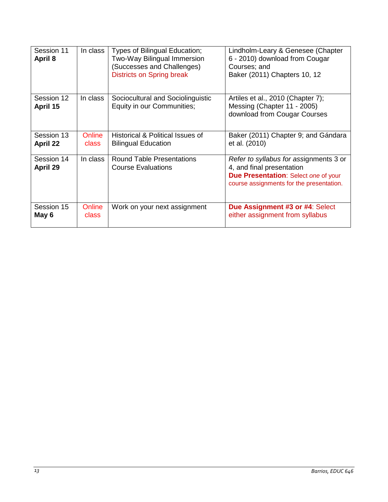| Session 11<br>April 8         | In class        | Types of Bilingual Education;<br>Two-Way Bilingual Immersion<br>(Successes and Challenges)<br><b>Districts on Spring break</b> | Lindholm-Leary & Genesee (Chapter<br>6 - 2010) download from Cougar<br>Courses; and<br>Baker (2011) Chapters 10, 12                                            |
|-------------------------------|-----------------|--------------------------------------------------------------------------------------------------------------------------------|----------------------------------------------------------------------------------------------------------------------------------------------------------------|
| Session 12<br>April 15        | In class        | Sociocultural and Sociolinguistic<br>Equity in our Communities;                                                                | Artiles et al., 2010 (Chapter 7);<br>Messing (Chapter 11 - 2005)<br>download from Cougar Courses                                                               |
| Session 13<br><b>April 22</b> | Online<br>class | Historical & Political Issues of<br><b>Bilingual Education</b>                                                                 | Baker (2011) Chapter 9; and Gándara<br>et al. (2010)                                                                                                           |
| Session 14<br>April 29        | In class        | <b>Round Table Presentations</b><br><b>Course Evaluations</b>                                                                  | Refer to syllabus for assignments 3 or<br>4, and final presentation<br><b>Due Presentation: Select one of your</b><br>course assignments for the presentation. |
| Session 15<br>May 6           | Online<br>class | Work on your next assignment                                                                                                   | Due Assignment #3 or #4: Select<br>either assignment from syllabus                                                                                             |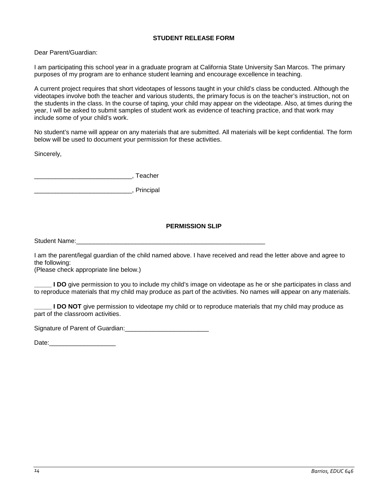# **STUDENT RELEASE FORM**

<span id="page-13-0"></span>Dear Parent/Guardian:

I am participating this school year in a graduate program at California State University San Marcos. The primary purposes of my program are to enhance student learning and encourage excellence in teaching.

A current project requires that short videotapes of lessons taught in your child's class be conducted. Although the videotapes involve both the teacher and various students, the primary focus is on the teacher's instruction, not on the students in the class. In the course of taping, your child may appear on the videotape. Also, at times during the year, I will be asked to submit samples of student work as evidence of teaching practice, and that work may include some of your child's work.

No student's name will appear on any materials that are submitted. All materials will be kept confidential. The form below will be used to document your permission for these activities.

Sincerely,

\_\_\_\_\_\_\_\_\_\_\_\_\_\_\_\_\_\_\_\_\_\_\_\_\_\_\_\_, Teacher

\_\_\_\_\_\_\_\_\_\_\_\_\_\_\_\_\_\_\_\_\_\_\_\_\_\_\_\_, Principal

# **PERMISSION SLIP**

<span id="page-13-1"></span>Student Name:

I am the parent/legal guardian of the child named above. I have received and read the letter above and agree to the following:

(Please check appropriate line below.)

**LDO** give permission to you to include my child's image on videotape as he or she participates in class and to reproduce materials that my child may produce as part of the activities. No names will appear on any materials.

**LDO NOT** give permission to videotape my child or to reproduce materials that my child may produce as part of the classroom activities.

Signature of Parent of Guardian: Latingle March 2014

Date:\_\_\_\_\_\_\_\_\_\_\_\_\_\_\_\_\_\_\_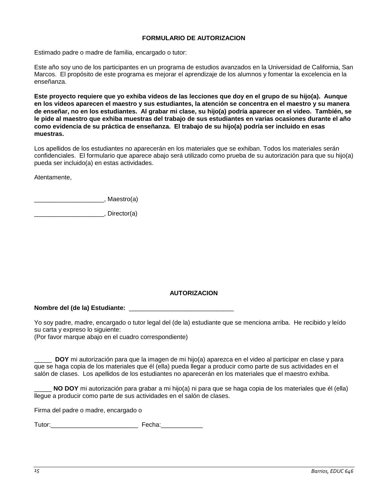#### **FORMULARIO DE AUTORIZACION**

<span id="page-14-0"></span>Estimado padre o madre de familia, encargado o tutor:

Este año soy uno de los participantes en un programa de estudios avanzados en la Universidad de California, San Marcos. El propósito de este programa es mejorar el aprendizaje de los alumnos y fomentar la excelencia en la enseñanza.

**Este proyecto requiere que yo exhiba videos de las lecciones que doy en el grupo de su hijo(a). Aunque en los videos aparecen el maestro y sus estudiantes, la atención se concentra en el maestro y su manera de enseñar, no en los estudiantes. Al grabar mi clase, su hijo(a) podría aparecer en el video. También, se le pide al maestro que exhiba muestras del trabajo de sus estudiantes en varias ocasiones durante el año como evidencia de su práctica de enseñanza. El trabajo de su hijo(a) podría ser incluido en esas muestras.**

Los apellidos de los estudiantes no aparecerán en los materiales que se exhiban. Todos los materiales serán confidenciales. El formulario que aparece abajo será utilizado como prueba de su autorización para que su hijo(a) pueda ser incluido(a) en estas actividades.

Atentamente,

dentity of the Manusburg (a)

\_\_\_\_\_\_\_\_\_\_\_\_\_\_\_\_\_\_\_\_, Director(a)

# **AUTORIZACION**

#### <span id="page-14-1"></span>**Nombre del (de la) Estudiante:** \_\_\_\_\_\_\_\_\_\_\_\_\_\_\_\_\_\_\_\_\_\_\_\_\_\_\_\_\_\_

Yo soy padre, madre, encargado o tutor legal del (de la) estudiante que se menciona arriba. He recibido y leído su carta y expreso lo siguiente:

(Por favor marque abajo en el cuadro correspondiente)

\_\_\_\_\_ **DOY** mi autorización para que la imagen de mi hijo(a) aparezca en el video al participar en clase y para que se haga copia de los materiales que él (ella) pueda llegar a producir como parte de sus actividades en el salón de clases. Los apellidos de los estudiantes no aparecerán en los materiales que el maestro exhiba.

\_\_\_\_\_ **NO DOY** mi autorización para grabar a mi hijo(a) ni para que se haga copia de los materiales que él (ella) llegue a producir como parte de sus actividades en el salón de clases.

Firma del padre o madre, encargado o

Tutor: Tutor: Tutor: Tutor: Tutor: Tutor: Tutor: Tutor: Tutor: Tutor: Tutor: Tutor: Tutor: Tutor: Tutor: Tutor: Tutor: Tutor: Tutor: Tutor: Tutor: Tutor: Tutor: Tutor: Tutor: Tutor: Tutor: Tutor: Tutor: Tutor: Tutor: Tutor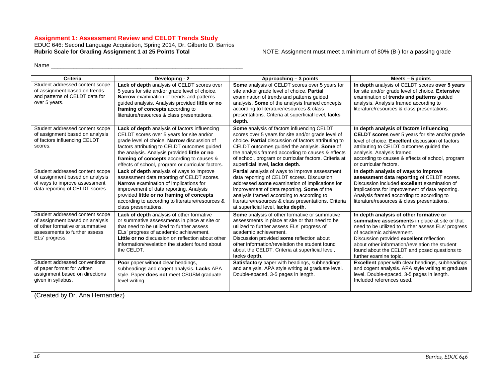#### **Assignment 1: Assessment Review and CELDT Trends Study**

EDUC 646: Second Language Acquisition, Spring 2014, Dr. Gilberto D. Barrios Rubric Scale for Grading Assignment 1 at 25 Points Total **Notable 10 MOTE: Assignment must meet a minimum** of 80% (B-) for a passing grade

Name \_\_\_\_\_\_\_\_\_\_\_\_\_\_\_\_\_\_\_\_\_\_\_\_\_\_\_\_\_\_\_\_\_\_\_\_\_\_\_\_\_\_\_\_\_\_\_\_\_\_\_\_\_\_\_\_\_\_\_\_

<span id="page-15-0"></span>

| Criteria                                                                                                                                                 | Developing - 2                                                                                                                                                                                                                                                                                                                              | Approaching - 3 points                                                                                                                                                                                                                                                                                                                                   | Meets $-5$ points                                                                                                                                                                                                                                                                                                                                    |
|----------------------------------------------------------------------------------------------------------------------------------------------------------|---------------------------------------------------------------------------------------------------------------------------------------------------------------------------------------------------------------------------------------------------------------------------------------------------------------------------------------------|----------------------------------------------------------------------------------------------------------------------------------------------------------------------------------------------------------------------------------------------------------------------------------------------------------------------------------------------------------|------------------------------------------------------------------------------------------------------------------------------------------------------------------------------------------------------------------------------------------------------------------------------------------------------------------------------------------------------|
| Student addressed content scope<br>of assignment based on trends<br>and patterns of CELDT data for<br>over 5 years.                                      | <b>Lack of depth</b> analysis of CELDT scores over<br>5 years for site and/or grade level of choice.<br>Narrow examination of trends and patterns<br>guided analysis. Analysis provided little or no<br>framing of concepts according to<br>literature/resources & class presentations.                                                     | Some analysis of CELDT scores over 5 years for<br>site and/or grade level of choice. Partial<br>examination of trends and patterns quided<br>analysis. Some of the analysis framed concepts<br>according to literature/resources & class<br>presentations. Criteria at superficial level, lacks<br>depth.                                                | In depth analysis of CELDT scores over 5 years<br>for site and/or grade level of choice. Extensive<br>examination of trends and patterns quided<br>analysis. Analysis framed according to<br>literature/resources & class presentations.                                                                                                             |
| Student addressed content scope<br>of assignment based on analysis<br>of factors influencing CELDT<br>scores.                                            | Lack of depth analysis of factors influencing<br>CELDT scores over 5 years for site and/or<br>grade level of choice. Narrow discussion of<br>factors attributing to CELDT outcomes guided<br>the analysis. Analysis provided little or no<br>framing of concepts according to causes &<br>effects of school, program or curricular factors. | Some analysis of factors influencing CELDT<br>scores over 5 years for site and/or grade level of<br>choice. Partial discussion of factors attributing to<br>CELDT outcomes quided the analysis. Some of<br>the analysis framed according to causes & effects<br>of school, program or curricular factors. Criteria at<br>superficial level, lacks depth. | In depth analysis of factors influencing<br><b>CELDT scores</b> over 5 years for site and/or grade<br>level of choice. Excellent discussion of factors<br>attributing to CELDT outcomes guided the<br>analysis. Analysis framed<br>according to causes & effects of school, program<br>or curricular factors.                                        |
| Student addressed content scope<br>of assignment based on analysis<br>of ways to improve assessment<br>data reporting of CELDT scores.                   | Lack of depth analysis of ways to improve<br>assessment data reporting of CELDT scores.<br>Narrow examination of implications for<br>improvement of data reporting. Analysis<br>provided little or no framing of concepts<br>according to according to literature/resources &<br>class presentations.                                       | <b>Partial</b> analysis of ways to improve assessment<br>data reporting of CELDT scores. Discussion<br>addressed some examination of implications for<br>improvement of data reporting. Some of the<br>analysis framed according to according to<br>literature/resources & class presentations. Criteria<br>at superficial level, lacks depth.           | In depth analysis of ways to improve<br>assessment data reporting of CELDT scores.<br>Discussion included excellent examination of<br>implications for improvement of data reporting.<br>Analysis framed according to according to<br>literature/resources & class presentations.                                                                    |
| Student addressed content scope<br>of assignment based on analysis<br>of other formative or summative<br>assessments to further assess<br>ELs' progress. | Lack of depth analysis of other formative<br>or summative assessments in place at site or<br>that need to be utilized to further assess<br>ELs' progress of academic achievement.<br>Little or no discussion on reflection about other<br>information/revelation the student found about<br>the CELDT.                                      | <b>Some</b> analysis of other formative or summative<br>assessments in place at site or that need to be<br>utilized to further assess ELs' progress of<br>academic achievement.<br>Discussion provided some reflection about<br>other information/revelation the student found<br>about the CELDT. Criteria at superficial level,<br>lacks depth.        | In depth analysis of other formative or<br>summative assessments in place at site or that<br>need to be utilized to further assess ELs' progress<br>of academic achievement.<br>Discussion provided excellent reflection<br>about other information/revelation the student<br>found about the CELDT and posed questions to<br>further examine topic. |
| Student addressed conventions<br>of paper format for written<br>assignment based on directions<br>given in syllabus.                                     | Poor paper without clear headings,<br>subheadings and cogent analysis. Lacks APA<br>style. Paper does not meet CSUSM graduate<br>level writing.                                                                                                                                                                                             | Satisfactory paper with headings, subheadings<br>and analysis. APA style writing at graduate level.<br>Double-spaced, 3-5 pages in length.                                                                                                                                                                                                               | Excellent paper with clear headings, subheadings<br>and cogent analysis. APA style writing at graduate<br>level. Double-spaced, 3-5 pages in length.<br>Included references used.                                                                                                                                                                    |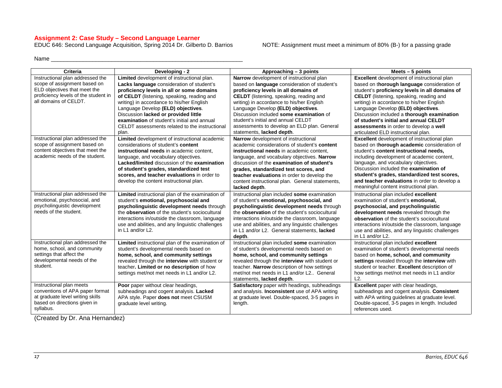#### **Assignment 2: Case Study – Second Language Learner**

EDUC 646: Second Language Acquisition, Spring 2014 Dr. Gilberto D. Barrios NOTE: Assignment must meet a minimum of 80% (B-) for a passing grade

Name \_\_\_\_\_\_\_\_\_\_\_\_\_\_\_\_\_\_\_\_\_\_\_\_\_\_\_\_\_\_\_\_\_\_\_\_\_\_\_\_\_\_\_\_\_\_\_\_\_\_\_\_\_\_\_\_\_\_\_\_

<span id="page-16-0"></span>

| Criteria                             | Developing - 2                                   | Approaching - 3 points                           | Meets $-5$ points                                  |
|--------------------------------------|--------------------------------------------------|--------------------------------------------------|----------------------------------------------------|
| Instructional plan addressed the     | Limited development of instructional plan.       | Narrow development of instructional plan         | <b>Excellent</b> development of instructional plan |
| scope of assignment based on         | Lacks language consideration of student's        | based on language consideration of student's     | based on thorough language consideration of        |
| ELD objectives that meet the         | proficiency levels in all or some domains        | proficiency levels in all domains of             | student's proficiency levels in all domains of     |
| proficiency levels of the student in | of CELDT (listening, speaking, reading and       | <b>CELDT</b> (listening, speaking, reading and   | <b>CELDT</b> (listening, speaking, reading and     |
| all domains of CELDT.                | writing) in accordance to his/her English        | writing) in accordance to his/her English        | writing) in accordance to his/her English          |
|                                      | Language Develop (ELD) objectives.               | Language Develop (ELD) objectives.               | Language Develop (ELD) objectives.                 |
|                                      | Discussion lacked or provided little             | Discussion included some examination of          | Discussion included a thorough examination         |
|                                      | examination of student's initial and annual      | student's initial and annual CELDT               | of student's initial and annual CELDT              |
|                                      | CELDT assessments related to the instructional   | assessments to develop an ELD plan. General      | assessments in order to develop a well             |
|                                      | plan.                                            | statements, lacked depth.                        | articulated ELD instructional plan.                |
| Instructional plan addressed the     | Limited development of instructional academic    | Narrow development of instructional              | Excellent development of instructional plan        |
| scope of assignment based on         | considerations of student's content              | academic considerations of student's content     | based on thorough academic consideration of        |
| content objectives that meet the     | instructional needs in academic content.         | instructional needs in academic content,         | student's content instructional needs,             |
| academic needs of the student.       | language, and vocabulary objectives.             | language, and vocabulary objectives. Narrow      | including development of academic content,         |
|                                      | Lacked/limited discussion of the examination     | discussion of the examination of student's       | language, and vocabulary objectives.               |
|                                      | of student's grades, standardized test           | grades, standardized test scores, and            | Discussion included the examination of             |
|                                      | scores, and teacher evaluations in order to      | teacher evaluations in order to develop the      | student's grades, standardized test scores,        |
|                                      | develop the content instructional plan.          | content instructional plan. General statements,  | and teacher evaluations in order to develop a      |
|                                      |                                                  | lacked depth.                                    | meaningful content instructional plan.             |
| Instructional plan addressed the     | Limited instructional plan of the examination of | Instructional plan included some examination     | Instructional plan included excellent              |
| emotional, psychosocial, and         | student's emotional, psychosocial and            | of student's emotional, psychosocial, and        | examination of student's emotional,                |
| psycholinguistic development         | psycholinguistic development needs through       | psycholinguistic development needs through       | psychosocial, and psycholinguistic                 |
| needs of the student.                | the observation of the student's sociocultural   | the observation of the student's sociocultural   | development needs revealed through the             |
|                                      | interactions in/outside the classroom, language  | interactions in/outside the classroom, language  | observation of the student's sociocultural         |
|                                      | use and abilities, and any linguistic challenges | use and abilities, and any linguistic challenges | interactions in/outside the classroom, language    |
|                                      | in L1 and/or L2.                                 | in L1 and/or L2. General statements, lacked      | use and abilities, and any linguistic challenges   |
|                                      |                                                  | depth.                                           | in L1 and/or L2.                                   |
| Instructional plan addressed the     | Limited instructional plan of the examination of | Instructional plan included some examination     | Instructional plan included excellent              |
| home, school, and community          | student's developmental needs based on           | of student's developmental needs based on        | examination of student's developmental needs       |
| settings that affect the             | home, school, and community settings             | home, school, and community settings             | based on home, school, and community               |
| developmental needs of the           | revealed through the interview with student or   | revealed through the interview with student or   | settings revealed through the interview with       |
| student.                             | teacher. Limited or no description of how        | teacher. Narrow description of how settings      | student or teacher. Excellent description of       |
|                                      | settings met/not met needs in L1 and/or L2.      | met/not met needs in L1 and/or L2 General        | how settings met/not met needs in L1 and/or        |
|                                      |                                                  | statements, lacked depth.                        | L2.                                                |
| Instructional plan meets             | Poor paper without clear headings,               | Satisfactory paper with headings, subheadings    | Excellent paper with clear headings,               |
| conventions of APA paper format      | subheadings and cogent analysis. Lacked          | and analysis. Inconsistent use of APA writing    | subheadings and cogent analysis. Consistent        |
| at graduate level writing skills     | APA style. Paper does not meet CSUSM             | at graduate level. Double-spaced, 3-5 pages in   | with APA writing guidelines at graduate level.     |
| based on directions given in         | graduate level writing.                          | length.                                          | Double-spaced, 3-5 pages in length. Included       |
| syllabus.                            |                                                  |                                                  | references used.                                   |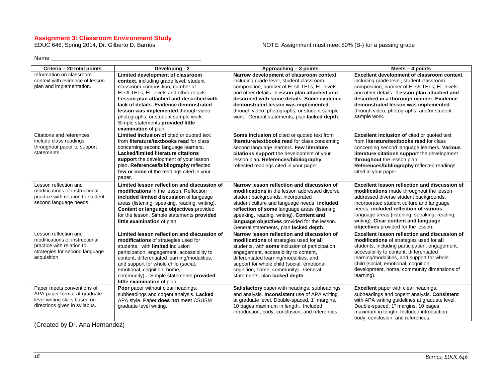# **Assignment 3: Classroom Environment Study**

#### NOTE: Assignment must meet 80% (B-) for a passing grade

Name \_\_\_\_\_\_\_\_\_\_\_\_\_\_\_\_\_\_\_\_\_\_\_\_\_\_\_\_\_\_\_\_\_\_\_\_\_\_\_\_\_\_\_\_\_\_\_

<span id="page-17-0"></span>

| Criteria - 20 total points                                                                                                             | Developing - 2                                                                                                                                                                                                                                                                                                                                                                                | Approaching - 3 points                                                                                                                                                                                                                                                                                                                                                   | Meets $-4$ points                                                                                                                                                                                                                                                                                                                                         |
|----------------------------------------------------------------------------------------------------------------------------------------|-----------------------------------------------------------------------------------------------------------------------------------------------------------------------------------------------------------------------------------------------------------------------------------------------------------------------------------------------------------------------------------------------|--------------------------------------------------------------------------------------------------------------------------------------------------------------------------------------------------------------------------------------------------------------------------------------------------------------------------------------------------------------------------|-----------------------------------------------------------------------------------------------------------------------------------------------------------------------------------------------------------------------------------------------------------------------------------------------------------------------------------------------------------|
| Information on classroom<br>context with evidence of lesson<br>plan and implementation.                                                | Limited development of classroom<br>context, including grade level, student<br>classroom composition, number of<br>ELs/LTELs. EL levels and other details.<br>Lesson plan attached and described with<br>lack of details. Evidence demonstrated<br>lesson was implemented through video.<br>photographs, or student sample work.<br>Simple statements provided little<br>examination of plan. | Narrow development of classroom context,<br>including grade level, student classroom<br>composition, number of ELs/LTELs, EL levels<br>and other details. Lesson plan attached and<br>described with some details. Some evidence<br>demonstrated lesson was implemented<br>through video, photographs, or student sample<br>work. General statements, plan lacked depth. | Excellent development of classroom context,<br>including grade level, student classroom<br>composition, number of ELs/LTELs, EL levels<br>and other details. Lesson plan attached and<br>described in a thorough manner. Evidence<br>demonstrated lesson was implemented<br>through video, photographs, and/or student<br>sample work.                    |
| Citations and references<br>include class readings<br>throughout paper to support<br>statements.                                       | Limited inclusion of cited or quoted text<br>from literature/textbooks read for class<br>concerning second language learners.<br><b>Lacked/limited literature citations</b><br>support the development of your lesson<br>plan. References/bibliography reflected<br>few or none of the readings cited in your<br>paper.                                                                       | Some inclusion of cited or quoted text from<br>literature/textbooks read for class concerning<br>second language learners. Few literature<br>citations support the development of your<br>lesson plan. References/bibliography<br>reflected readings cited in your paper.                                                                                                | <b>Excellent inclusion of cited or quoted text</b><br>from literature/textbooks read for class<br>concerning second language learners. Various<br>literature citations support the development<br>throughout the lesson plan.<br>References/bibliography reflected readings<br>cited in your paper.                                                       |
| Lesson reflection and<br>modifications of instructional<br>practice with relation to student<br>second language needs.                 | Limited lesson reflection and discussion of<br>modifications in the lesson. Reflection<br>included limited discussion of language<br>areas (listening, speaking, reading, writing).<br>Content or language objectives provided<br>for the lesson. Simple statements provided<br>little examination of plan.                                                                                   | Narrow lesson reflection and discussion of<br>modifications in the lesson addressed diverse<br>student backgrounds, incorporated<br>student culture and language needs, included<br>reflection of some language areas (listening,<br>speaking, reading, writing). Content and<br>language objectives provided for the lesson.<br>General statements, plan lacked depth.  | Excellent lesson reflection and discussion of<br>modifications made throughout the lesson<br>addressed diverse student backgrounds,<br>incorporated student culture and language<br>needs, included reflection of various<br>language areas (listening, speaking, reading,<br>writing). Clear content and language<br>objectives provided for the lesson. |
| Lesson reflection and<br>modifications of instructional<br>practice with relation to<br>strategies for second language<br>acquisition. | Limited lesson reflection and discussion of<br>modifications of strategies used for<br>students, with limited inclusion<br>participation, engagement, accessibility to<br>content, differentiated learning/modalities,<br>and support for whole child (social,<br>emotional, cognition, home,<br>community) Simple statements provided<br>little examination of plan.                         | Narrow lesson reflection and discussion of<br>modifications of strategies used for all<br>students, with some inclusion of participation,<br>engagement, accessibility to content,<br>differentiated learning/modalities, and<br>support for whole child (social, emotional,<br>cognition, home, community). General<br>statements, plan lacked depth.                   | Excellent lesson reflection and discussion of<br>modifications of strategies used for all<br>students, including participation, engagement,<br>accessibility to content, differentiated<br>learning/modalities, and support for whole<br>child (social, emotional, cognition<br>development, home, community dimensions of<br>learning).                  |
| Paper meets conventions of<br>APA paper format at graduate<br>level writing skills based on<br>directions given in syllabus.           | Poor paper without clear headings,<br>subheadings and cogent analysis. Lacked<br>APA style. Paper does not meet CSUSM<br>graduate level writing.                                                                                                                                                                                                                                              | Satisfactory paper with headings, subheadings<br>and analysis. Inconsistent use of APA writing<br>at graduate level. Double-spaced, 1" margins,<br>10 pages maximum in length. Included<br>introduction, body, conclusion, and references.                                                                                                                               | <b>Excellent</b> paper with clear headings,<br>subheadings and cogent analysis. Consistent<br>with APA writing guidelines at graduate level.<br>Double-spaced, 1" margins, 10 pages<br>maximum in length. Included introduction,<br>body, conclusion, and references.                                                                                     |

<u> 1989 - Johann Stoff, deutscher Stoffen und der Stoffen und der Stoffen und der Stoffen und der Stoffen und der</u>